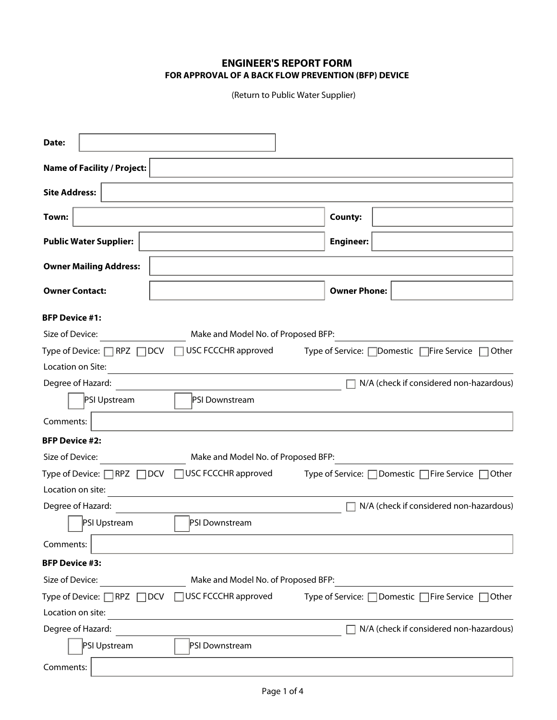## **ENGINEER'S REPORT FORM FOR APPROVAL OF A BACK FLOW PREVENTION (BFP) DEVICE**

(Return to Public Water Supplier)

| Date:                                                |                                     |                     |                                              |       |
|------------------------------------------------------|-------------------------------------|---------------------|----------------------------------------------|-------|
| <b>Name of Facility / Project:</b>                   |                                     |                     |                                              |       |
| <b>Site Address:</b>                                 |                                     |                     |                                              |       |
| Town:                                                |                                     | <b>County:</b>      |                                              |       |
| <b>Public Water Supplier:</b>                        |                                     | <b>Engineer:</b>    |                                              |       |
| <b>Owner Mailing Address:</b>                        |                                     |                     |                                              |       |
| <b>Owner Contact:</b>                                |                                     | <b>Owner Phone:</b> |                                              |       |
| <b>BFP Device #1:</b><br>Size of Device:             | Make and Model No. of Proposed BFP: |                     |                                              |       |
| Type of Device: $\Box$ RPZ $\Box$ DCV                | USC FCCCHR approved                 |                     | Type of Service: □ Domestic □ Fire Service   | Other |
| Location on Site:                                    |                                     |                     |                                              |       |
| Degree of Hazard:                                    |                                     |                     | N/A (check if considered non-hazardous)      |       |
| PSI Upstream                                         | PSI Downstream                      |                     |                                              |       |
| Comments:                                            |                                     |                     |                                              |       |
| <b>BFP Device #2:</b>                                |                                     |                     |                                              |       |
| Size of Device:                                      | Make and Model No. of Proposed BFP: |                     |                                              |       |
| Type of Device: RPZ DCV                              | USC FCCCHR approved                 |                     | Type of Service: □ Domestic □ Fire Service □ | Other |
| Location on site:                                    |                                     |                     |                                              |       |
| Degree of Hazard:                                    |                                     |                     | N/A (check if considered non-hazardous)      |       |
| PSI Upstream                                         | PSI Downstream                      |                     |                                              |       |
| Comments:                                            |                                     |                     |                                              |       |
| <b>BFP Device #3:</b>                                |                                     |                     |                                              |       |
| Size of Device:                                      | Make and Model No. of Proposed BFP: |                     |                                              |       |
| $\neg$ RPZ<br>Type of Device: $\Box$<br>$\sqcap$ DCV | <b>USC FCCCHR approved</b>          |                     | Type of Service: □ Domestic □ Fire Service   | Other |
| Location on site:                                    |                                     |                     |                                              |       |
| Degree of Hazard:                                    |                                     |                     | N/A (check if considered non-hazardous)      |       |
| PSI Upstream                                         | PSI Downstream                      |                     |                                              |       |
| Comments:                                            |                                     |                     |                                              |       |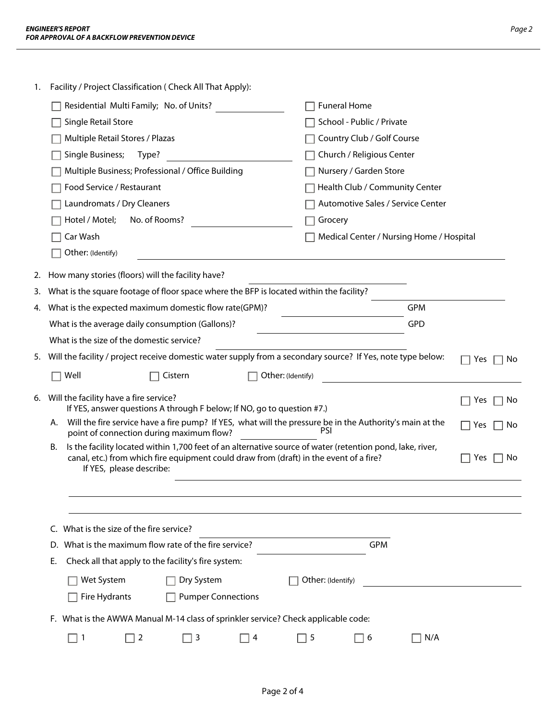|--|--|

| 1. | Facility / Project Classification ( Check All That Apply):                                                                                                                                                                                   |                                                                                              |                                                                                                             |                  |  |  |
|----|----------------------------------------------------------------------------------------------------------------------------------------------------------------------------------------------------------------------------------------------|----------------------------------------------------------------------------------------------|-------------------------------------------------------------------------------------------------------------|------------------|--|--|
|    | Residential Multi Family; No. of Units?                                                                                                                                                                                                      |                                                                                              | <b>Funeral Home</b>                                                                                         |                  |  |  |
|    | Single Retail Store                                                                                                                                                                                                                          |                                                                                              | School - Public / Private                                                                                   |                  |  |  |
|    | Multiple Retail Stores / Plazas                                                                                                                                                                                                              |                                                                                              | Country Club / Golf Course                                                                                  |                  |  |  |
|    | Single Business;<br>Type?                                                                                                                                                                                                                    |                                                                                              | Church / Religious Center                                                                                   |                  |  |  |
|    | Multiple Business; Professional / Office Building                                                                                                                                                                                            |                                                                                              | Nursery / Garden Store                                                                                      |                  |  |  |
|    | Food Service / Restaurant                                                                                                                                                                                                                    |                                                                                              | Health Club / Community Center                                                                              |                  |  |  |
|    | Laundromats / Dry Cleaners                                                                                                                                                                                                                   |                                                                                              | Automotive Sales / Service Center                                                                           |                  |  |  |
|    | No. of Rooms?<br>Hotel / Motel;                                                                                                                                                                                                              |                                                                                              | Grocery                                                                                                     |                  |  |  |
|    | Car Wash                                                                                                                                                                                                                                     |                                                                                              | Medical Center / Nursing Home / Hospital                                                                    |                  |  |  |
|    | Other: (Identify)                                                                                                                                                                                                                            |                                                                                              |                                                                                                             |                  |  |  |
| 2. | How many stories (floors) will the facility have?                                                                                                                                                                                            |                                                                                              |                                                                                                             |                  |  |  |
| 3. |                                                                                                                                                                                                                                              | What is the square footage of floor space where the BFP is located within the facility?      |                                                                                                             |                  |  |  |
|    | 4. What is the expected maximum domestic flow rate(GPM)?                                                                                                                                                                                     |                                                                                              | <b>GPM</b>                                                                                                  |                  |  |  |
|    | What is the average daily consumption (Gallons)?                                                                                                                                                                                             |                                                                                              | <b>GPD</b>                                                                                                  |                  |  |  |
|    | What is the size of the domestic service?                                                                                                                                                                                                    |                                                                                              |                                                                                                             |                  |  |  |
| 5. |                                                                                                                                                                                                                                              |                                                                                              | Will the facility / project receive domestic water supply from a secondary source? If Yes, note type below: | Yes<br>No        |  |  |
|    | Well                                                                                                                                                                                                                                         | Cistern<br>Other: (Identify)                                                                 |                                                                                                             |                  |  |  |
| 6. | Will the facility have a fire service?                                                                                                                                                                                                       | If YES, answer questions A through F below; If NO, go to question #7.)                       |                                                                                                             | Yes<br><b>No</b> |  |  |
|    | Will the fire service have a fire pump? If YES, what will the pressure be in the Authority's main at the<br>Α.<br>Yes<br>No<br>point of connection during maximum flow?                                                                      |                                                                                              |                                                                                                             |                  |  |  |
|    | Is the facility located within 1,700 feet of an alternative source of water (retention pond, lake, river,<br>В.<br>canal, etc.) from which fire equipment could draw from (draft) in the event of a fire?<br>Yes<br>If YES, please describe: |                                                                                              |                                                                                                             |                  |  |  |
|    |                                                                                                                                                                                                                                              |                                                                                              |                                                                                                             | No               |  |  |
|    |                                                                                                                                                                                                                                              |                                                                                              |                                                                                                             |                  |  |  |
|    |                                                                                                                                                                                                                                              |                                                                                              |                                                                                                             |                  |  |  |
|    | What is the size of the fire service?<br>C.                                                                                                                                                                                                  |                                                                                              |                                                                                                             |                  |  |  |
|    | What is the maximum flow rate of the fire service?<br>D.                                                                                                                                                                                     |                                                                                              | <b>GPM</b>                                                                                                  |                  |  |  |
|    | Check all that apply to the facility's fire system:<br>Е.                                                                                                                                                                                    |                                                                                              |                                                                                                             |                  |  |  |
|    | Wet System                                                                                                                                                                                                                                   | Dry System                                                                                   | Other: (Identify)                                                                                           |                  |  |  |
|    | Fire Hydrants                                                                                                                                                                                                                                | <b>Pumper Connections</b>                                                                    |                                                                                                             |                  |  |  |
|    |                                                                                                                                                                                                                                              |                                                                                              |                                                                                                             |                  |  |  |
|    | $\Box$ 1<br>$\overline{2}$                                                                                                                                                                                                                   | F. What is the AWWA Manual M-14 class of sprinkler service? Check applicable code:<br>4<br>3 | 5<br>N/A<br>6                                                                                               |                  |  |  |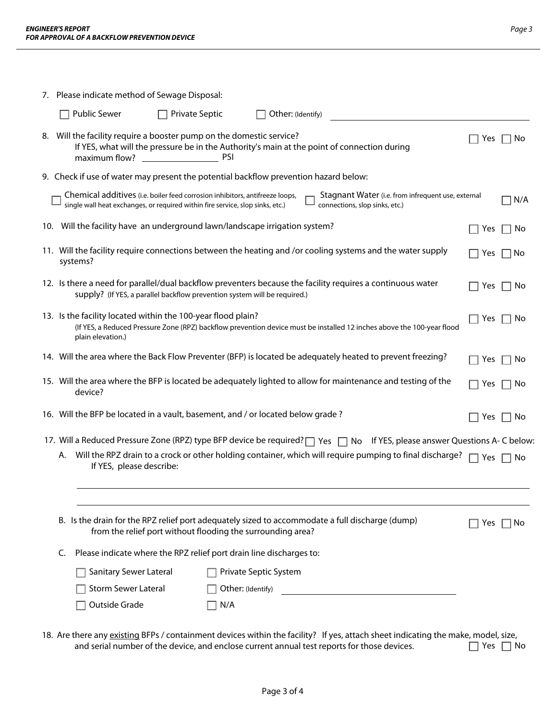|                                                                                                                                                                | 7. Please indicate method of Sewage Disposal:                                                                                                                                                                                                          |            |           |  |
|----------------------------------------------------------------------------------------------------------------------------------------------------------------|--------------------------------------------------------------------------------------------------------------------------------------------------------------------------------------------------------------------------------------------------------|------------|-----------|--|
|                                                                                                                                                                | <b>Public Sewer</b><br><b>Private Septic</b><br>Other: (Identify)                                                                                                                                                                                      |            |           |  |
|                                                                                                                                                                | 8. Will the facility require a booster pump on the domestic service?<br>If YES, what will the pressure be in the Authority's main at the point of connection during                                                                                    | Yes.       | No        |  |
|                                                                                                                                                                | 9. Check if use of water may present the potential backflow prevention hazard below:                                                                                                                                                                   |            |           |  |
|                                                                                                                                                                | Chemical additives (i.e. boiler feed corrosion inhibitors, antifreeze loops,<br>Stagnant Water (i.e. from infrequent use, external<br>single wall heat exchanges, or required within fire service, slop sinks, etc.)<br>connections, slop sinks, etc.) |            | N/A       |  |
|                                                                                                                                                                | 10. Will the facility have an underground lawn/landscape irrigation system?                                                                                                                                                                            | Yes        | No        |  |
|                                                                                                                                                                | 11. Will the facility require connections between the heating and /or cooling systems and the water supply<br>systems?                                                                                                                                 | Yes        | No        |  |
|                                                                                                                                                                | 12. Is there a need for parallel/dual backflow preventers because the facility requires a continuous water<br>supply? (If YES, a parallel backflow prevention system will be required.)                                                                | Yes        | No        |  |
|                                                                                                                                                                | 13. Is the facility located within the 100-year flood plain?<br>(If YES, a Reduced Pressure Zone (RPZ) backflow prevention device must be installed 12 inches above the 100-year flood<br>plain elevation.)                                            | Yes        | No        |  |
|                                                                                                                                                                | 14. Will the area where the Back Flow Preventer (BFP) is located be adequately heated to prevent freezing?                                                                                                                                             | Yes        | No        |  |
|                                                                                                                                                                | 15. Will the area where the BFP is located be adequately lighted to allow for maintenance and testing of the<br>device?                                                                                                                                | Yes        | No.       |  |
|                                                                                                                                                                | 16. Will the BFP be located in a vault, basement, and / or located below grade?                                                                                                                                                                        | Yes        | ∣ No      |  |
|                                                                                                                                                                | 17. Will a Reduced Pressure Zone (RPZ) type BFP device be required?   Yes   No If YES, please answer Questions A- C below:                                                                                                                             |            |           |  |
| А.                                                                                                                                                             | Will the RPZ drain to a crock or other holding container, which will require pumping to final discharge?<br>If YES, please describe:                                                                                                                   | $\Box$ Yes | No        |  |
|                                                                                                                                                                |                                                                                                                                                                                                                                                        |            |           |  |
| B. Is the drain for the RPZ relief port adequately sized to accommodate a full discharge (dump)<br>from the relief port without flooding the surrounding area? |                                                                                                                                                                                                                                                        |            | Yes<br>No |  |
| Please indicate where the RPZ relief port drain line discharges to:<br>C.                                                                                      |                                                                                                                                                                                                                                                        |            |           |  |
|                                                                                                                                                                | Sanitary Sewer Lateral<br>Private Septic System                                                                                                                                                                                                        |            |           |  |
|                                                                                                                                                                | Storm Sewer Lateral<br>Other: (Identify)<br>the control of the control of the control of the control of the control of                                                                                                                                 |            |           |  |
|                                                                                                                                                                | Outside Grade<br>N/A                                                                                                                                                                                                                                   |            |           |  |

18. Are there any existing BFPs / containment devices within the facility? If yes, attach sheet indicating the make, model, size,<br>and serial number of the device, and enclose current annual test reports for those devices. and serial number of the device, and enclose current annual test reports for those devices.